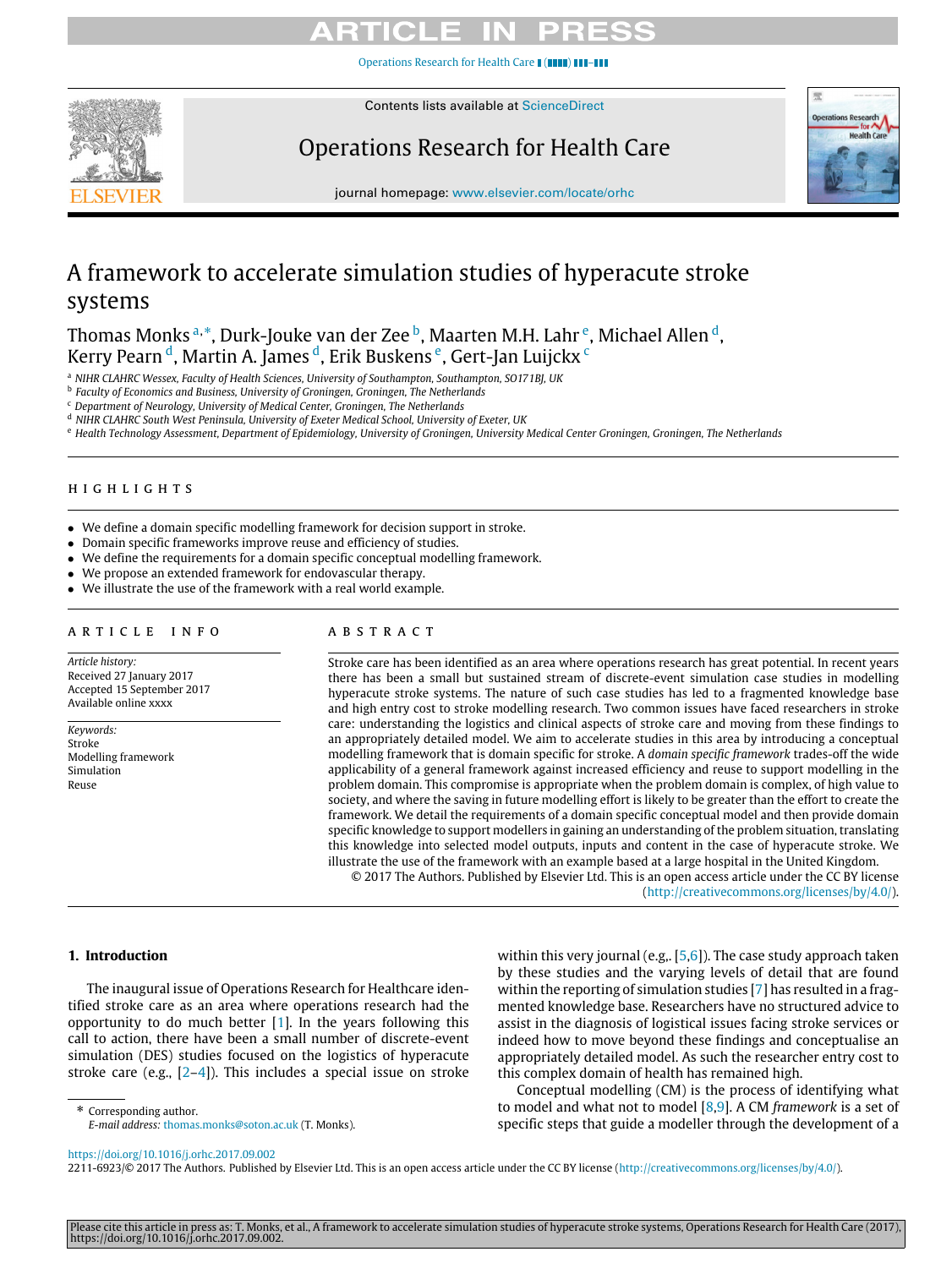[Operations Research for Health Care](https://doi.org/10.1016/j.orhc.2017.09.002) **I** (III



Contents lists available at [ScienceDirect](http://www.elsevier.com/locate/orhc)

Operations Research for Health Care



journal homepage: [www.elsevier.com/locate/orhc](http://www.elsevier.com/locate/orhc)

# A framework to accelerate simulation studies of hyperacute stroke systems

Thomas Monks <sup>[a,](#page-0-0)</sup>[\\*](#page-0-1), Durk-Jouke van der Zee <sup>[b](#page-0-2)</sup>, Maart[e](#page-0-3)n M.H. Lahr <sup>e</sup>, Michael Allen <sup>[d](#page-0-4)</sup>, Kerry Pearn <sup>[d](#page-0-4)</sup>, Martin A. Jam[e](#page-0-3)s <sup>d</sup>, Erik Buskens <sup>e</sup>, Gert-Jan Luij[c](#page-0-5)kx <sup>c</sup>

<span id="page-0-0"></span><sup>a</sup> *NIHR CLAHRC Wessex, Faculty of Health Sciences, University of Southampton, Southampton, SO171BJ, UK*

<span id="page-0-2"></span>b *Faculty of Economics and Business, University of Groningen, Groningen, The Netherlands*

<span id="page-0-5"></span><sup>c</sup> *Department of Neurology, University of Medical Center, Groningen, The Netherlands*

<span id="page-0-4"></span><sup>d</sup> *NIHR CLAHRC South West Peninsula, University of Exeter Medical School, University of Exeter, UK*

<span id="page-0-3"></span><sup>e</sup> *Health Technology Assessment, Department of Epidemiology, University of Groningen, University Medical Center Groningen, Groningen, The Netherlands*

#### h i g h l i g h t s

- We define a domain specific modelling framework for decision support in stroke.
- Domain specific frameworks improve reuse and efficiency of studies.
- We define the requirements for a domain specific conceptual modelling framework.
- We propose an extended framework for endovascular therapy.
- We illustrate the use of the framework with a real world example.

## ARTICLE INFO

*Article history:* Received 27 January 2017 Accepted 15 September 2017 Available online xxxx

*Keywords:* Stroke Modelling framework Simulation Reuse

# a b s t r a c t

Stroke care has been identified as an area where operations research has great potential. In recent years there has been a small but sustained stream of discrete-event simulation case studies in modelling hyperacute stroke systems. The nature of such case studies has led to a fragmented knowledge base and high entry cost to stroke modelling research. Two common issues have faced researchers in stroke care: understanding the logistics and clinical aspects of stroke care and moving from these findings to an appropriately detailed model. We aim to accelerate studies in this area by introducing a conceptual modelling framework that is domain specific for stroke. A *domain specific framework* trades-off the wide applicability of a general framework against increased efficiency and reuse to support modelling in the problem domain. This compromise is appropriate when the problem domain is complex, of high value to society, and where the saving in future modelling effort is likely to be greater than the effort to create the framework. We detail the requirements of a domain specific conceptual model and then provide domain specific knowledge to support modellers in gaining an understanding of the problem situation, translating this knowledge into selected model outputs, inputs and content in the case of hyperacute stroke. We illustrate the use of the framework with an example based at a large hospital in the United Kingdom.

© 2017 The Authors. Published by Elsevier Ltd. This is an open access article under the CC BY license [\(http://creativecommons.org/licenses/by/4.0/\)](http://creativecommons.org/licenses/by/4.0/).

# **1. Introduction**

The inaugural issue of Operations Research for Healthcare identified stroke care as an area where operations research had the opportunity to do much better [\[1\]](#page--1-0). In the years following this call to action, there have been a small number of discrete-event simulation (DES) studies focused on the logistics of hyperacute stroke care (e.g.,  $[2-4]$  $[2-4]$ ). This includes a special issue on stroke

<span id="page-0-1"></span>\* Corresponding author.

within this very journal (e.g., [\[5](#page--1-3)[,6\]](#page--1-4)). The case study approach taken by these studies and the varying levels of detail that are found within the reporting of simulation studies [\[7\]](#page--1-5) has resulted in a fragmented knowledge base. Researchers have no structured advice to assist in the diagnosis of logistical issues facing stroke services or indeed how to move beyond these findings and conceptualise an appropriately detailed model. As such the researcher entry cost to this complex domain of health has remained high.

Conceptual modelling (CM) is the process of identifying what to model and what not to model [\[8,](#page--1-6)[9\]](#page--1-7). A CM *framework* is a set of specific steps that guide a modeller through the development of a

2211-6923/© 2017 The Authors. Published by Elsevier Ltd. This is an open access article under the CC BY license [\(http://creativecommons.org/licenses/by/4.0/\)](http://creativecommons.org/licenses/by/4.0/).

*E-mail address:* [thomas.monks@soton.ac.uk](mailto:thomas.monks@soton.ac.uk) (T. Monks).

<https://doi.org/10.1016/j.orhc.2017.09.002>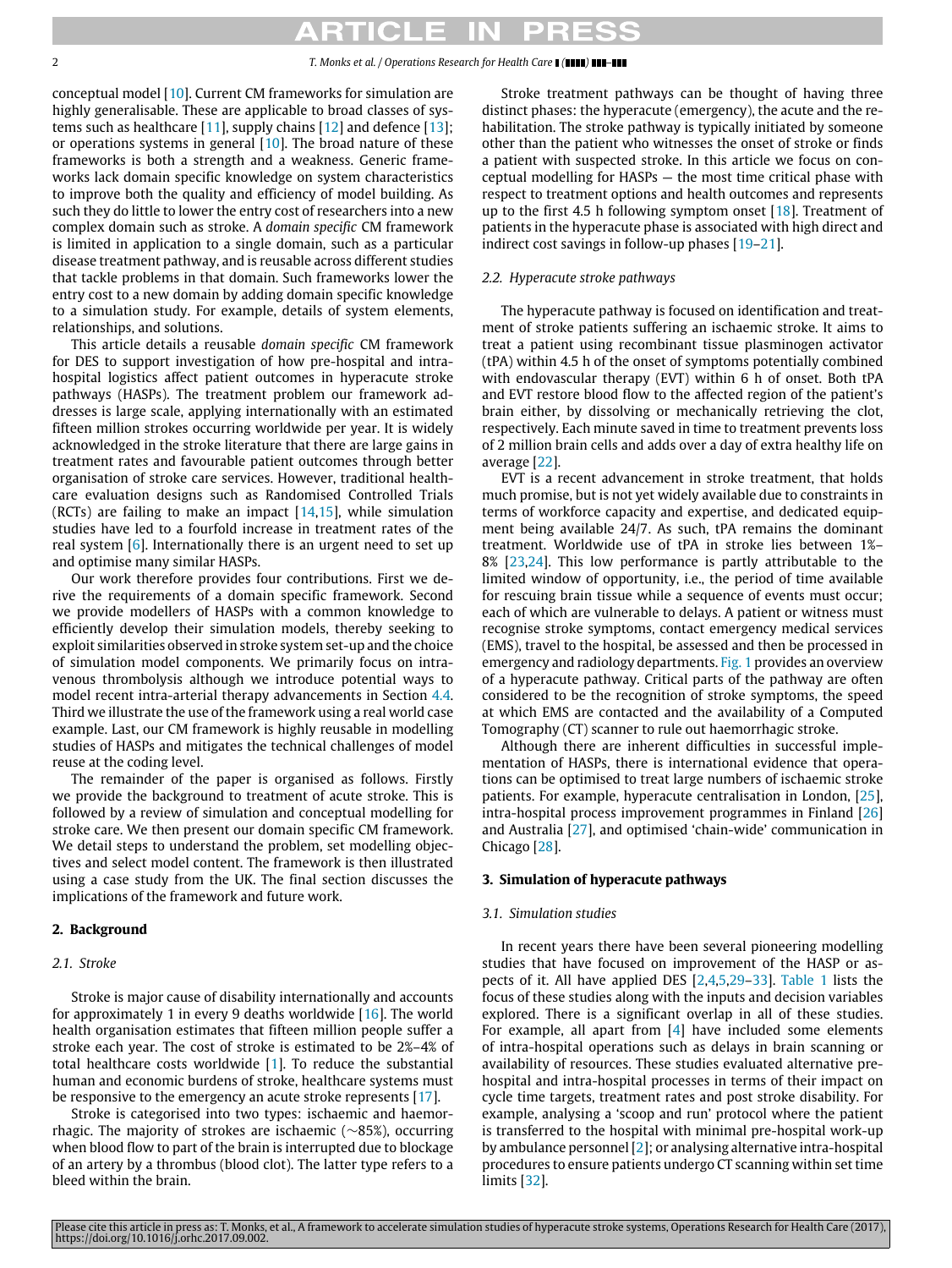#### 2 *T. Monks et al. / Operations Research for Health Care ( ) –*

conceptual model [\[10\]](#page--1-8). Current CM frameworks for simulation are highly generalisable. These are applicable to broad classes of systems such as healthcare  $[11]$ , supply chains  $[12]$  and defence  $[13]$ ; or operations systems in general [\[10\]](#page--1-8). The broad nature of these frameworks is both a strength and a weakness. Generic frameworks lack domain specific knowledge on system characteristics to improve both the quality and efficiency of model building. As such they do little to lower the entry cost of researchers into a new complex domain such as stroke. A *domain specific* CM framework is limited in application to a single domain, such as a particular disease treatment pathway, and is reusable across different studies that tackle problems in that domain. Such frameworks lower the entry cost to a new domain by adding domain specific knowledge to a simulation study. For example, details of system elements, relationships, and solutions.

This article details a reusable *domain specific* CM framework for DES to support investigation of how pre-hospital and intrahospital logistics affect patient outcomes in hyperacute stroke pathways (HASPs). The treatment problem our framework addresses is large scale, applying internationally with an estimated fifteen million strokes occurring worldwide per year. It is widely acknowledged in the stroke literature that there are large gains in treatment rates and favourable patient outcomes through better organisation of stroke care services. However, traditional healthcare evaluation designs such as Randomised Controlled Trials (RCTs) are failing to make an impact  $[14,15]$  $[14,15]$ , while simulation studies have led to a fourfold increase in treatment rates of the real system [\[6\]](#page--1-4). Internationally there is an urgent need to set up and optimise many similar HASPs.

Our work therefore provides four contributions. First we derive the requirements of a domain specific framework. Second we provide modellers of HASPs with a common knowledge to efficiently develop their simulation models, thereby seeking to exploit similarities observed in stroke system set-up and the choice of simulation model components. We primarily focus on intravenous thrombolysis although we introduce potential ways to model recent intra-arterial therapy advancements in Section [4.4.](#page--1-14) Third we illustrate the use of the framework using a real world case example. Last, our CM framework is highly reusable in modelling studies of HASPs and mitigates the technical challenges of model reuse at the coding level.

The remainder of the paper is organised as follows. Firstly we provide the background to treatment of acute stroke. This is followed by a review of simulation and conceptual modelling for stroke care. We then present our domain specific CM framework. We detail steps to understand the problem, set modelling objectives and select model content. The framework is then illustrated using a case study from the UK. The final section discusses the implications of the framework and future work.

## **2. Background**

### *2.1. Stroke*

Stroke is major cause of disability internationally and accounts for approximately 1 in every 9 deaths worldwide [\[16\]](#page--1-15). The world health organisation estimates that fifteen million people suffer a stroke each year. The cost of stroke is estimated to be 2%–4% of total healthcare costs worldwide [\[1\]](#page--1-0). To reduce the substantial human and economic burdens of stroke, healthcare systems must be responsive to the emergency an acute stroke represents [\[17\]](#page--1-16).

Stroke is categorised into two types: ischaemic and haemorrhagic. The majority of strokes are ischaemic (∼85%), occurring when blood flow to part of the brain is interrupted due to blockage of an artery by a thrombus (blood clot). The latter type refers to a bleed within the brain.

Stroke treatment pathways can be thought of having three distinct phases: the hyperacute (emergency), the acute and the rehabilitation. The stroke pathway is typically initiated by someone other than the patient who witnesses the onset of stroke or finds a patient with suspected stroke. In this article we focus on conceptual modelling for HASPs — the most time critical phase with respect to treatment options and health outcomes and represents up to the first 4.5 h following symptom onset  $[18]$ . Treatment of patients in the hyperacute phase is associated with high direct and indirect cost savings in follow-up phases [\[19](#page--1-18)[–21\]](#page--1-19).

### *2.2. Hyperacute stroke pathways*

The hyperacute pathway is focused on identification and treatment of stroke patients suffering an ischaemic stroke. It aims to treat a patient using recombinant tissue plasminogen activator (tPA) within 4.5 h of the onset of symptoms potentially combined with endovascular therapy (EVT) within 6 h of onset. Both tPA and EVT restore blood flow to the affected region of the patient's brain either, by dissolving or mechanically retrieving the clot, respectively. Each minute saved in time to treatment prevents loss of 2 million brain cells and adds over a day of extra healthy life on average [\[22\]](#page--1-20).

EVT is a recent advancement in stroke treatment, that holds much promise, but is not yet widely available due to constraints in terms of workforce capacity and expertise, and dedicated equipment being available 24/7. As such, tPA remains the dominant treatment. Worldwide use of tPA in stroke lies between 1%– 8% [\[23](#page--1-21)[,24\]](#page--1-22). This low performance is partly attributable to the limited window of opportunity, i.e., the period of time available for rescuing brain tissue while a sequence of events must occur; each of which are vulnerable to delays. A patient or witness must recognise stroke symptoms, contact emergency medical services (EMS), travel to the hospital, be assessed and then be processed in emergency and radiology departments. [Fig. 1](#page--1-23) provides an overview of a hyperacute pathway. Critical parts of the pathway are often considered to be the recognition of stroke symptoms, the speed at which EMS are contacted and the availability of a Computed Tomography (CT) scanner to rule out haemorrhagic stroke.

Although there are inherent difficulties in successful implementation of HASPs, there is international evidence that operations can be optimised to treat large numbers of ischaemic stroke patients. For example, hyperacute centralisation in London, [\[25\]](#page--1-24), intra-hospital process improvement programmes in Finland [\[26\]](#page--1-23) and Australia [\[27\]](#page--1-25), and optimised 'chain-wide' communication in Chicago [\[28\]](#page--1-26).

### **3. Simulation of hyperacute pathways**

#### *3.1. Simulation studies*

In recent years there have been several pioneering modelling studies that have focused on improvement of the HASP or aspects of it. All have applied DES [\[2](#page--1-1)[,4,](#page--1-2)[5,](#page--1-3)[29](#page--1-27)[–33\]](#page--1-28). [Table 1](#page--1-29) lists the focus of these studies along with the inputs and decision variables explored. There is a significant overlap in all of these studies. For example, all apart from [\[4\]](#page--1-2) have included some elements of intra-hospital operations such as delays in brain scanning or availability of resources. These studies evaluated alternative prehospital and intra-hospital processes in terms of their impact on cycle time targets, treatment rates and post stroke disability. For example, analysing a 'scoop and run' protocol where the patient is transferred to the hospital with minimal pre-hospital work-up by ambulance personnel [\[2\]](#page--1-1); or analysing alternative intra-hospital procedures to ensure patients undergo CT scanning within set time limits [\[32\]](#page--1-30).